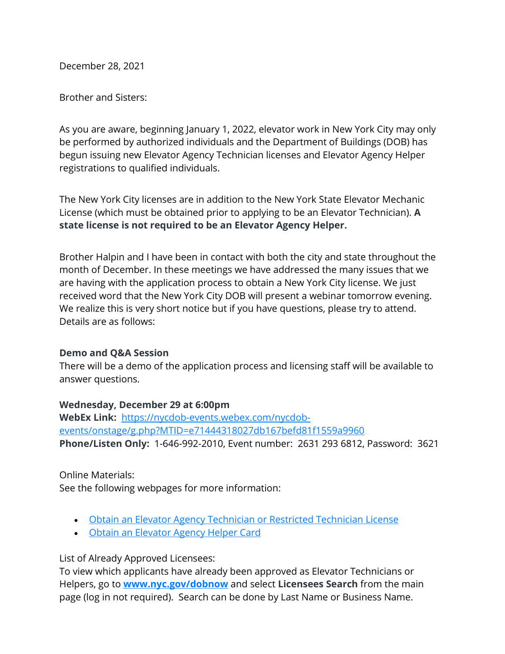December 28, 2021

Brother and Sisters:

As you are aware, beginning January 1, 2022, elevator work in New York City may only be performed by authorized individuals and the Department of Buildings (DOB) has begun issuing new Elevator Agency Technician licenses and Elevator Agency Helper registrations to qualified individuals.

The New York City licenses are in addition to the New York State Elevator Mechanic License (which must be obtained prior to applying to be an Elevator Technician). **A state license is not required to be an Elevator Agency Helper.**

Brother Halpin and I have been in contact with both the city and state throughout the month of December. In these meetings we have addressed the many issues that we are having with the application process to obtain a New York City license. We just received word that the New York City DOB will present a webinar tomorrow evening. We realize this is very short notice but if you have questions, please try to attend. Details are as follows:

## **Demo and Q&A Session**

There will be a demo of the application process and licensing staff will be available to answer questions.

## **Wednesday, December 29 at 6:00pm**

**WebEx Link:** [https://nycdob-events.webex.com/nycdob](https://nycdob-events.webex.com/nycdob-events/onstage/g.php?MTID=e71444318027db167befd81f1559a9960)[events/onstage/g.php?MTID=e71444318027db167befd81f1559a9960](https://nycdob-events.webex.com/nycdob-events/onstage/g.php?MTID=e71444318027db167befd81f1559a9960) **Phone/Listen Only:** 1-646-992-2010, Event number: 2631 293 6812, Password: 3621

Online Materials: See the following webpages for more information:

- Obtain an Elevator Agency [Technician](https://www1.nyc.gov/site/buildings/industry/obtain-a-elevator-agency-tech.page) or Restricted Technician License
- Obtain an [Elevator](https://www1.nyc.gov/site/buildings/industry/obtain-a-elevator-agency-helper.page) Agency Helper Card

List of Already Approved Licensees:

To view which applicants have already been approved as Elevator Technicians or Helpers, go to **[www.nyc.gov/dobnow](https://www.nyc.gov/dobnow)** and select **Licensees Search** from the main page (log in not required). Search can be done by Last Name or Business Name.